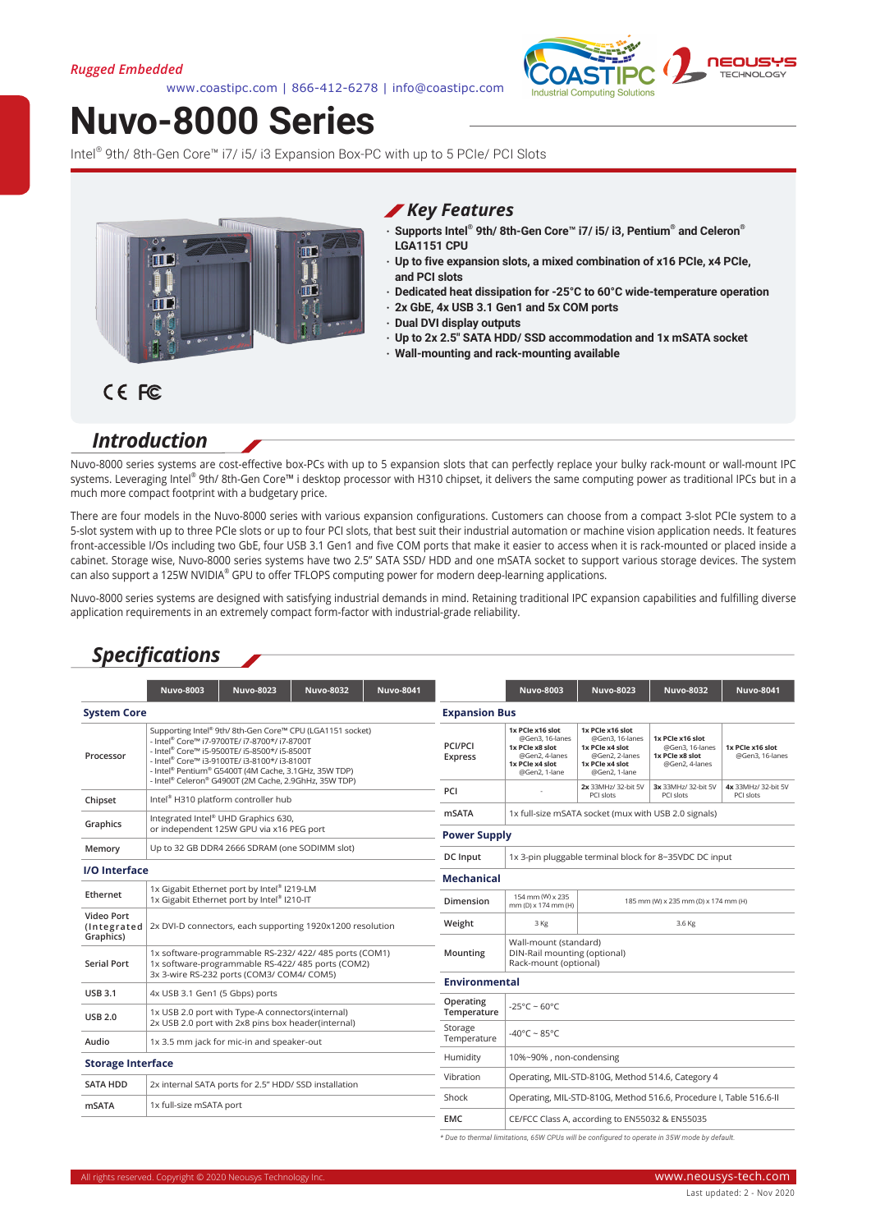www.coastipc.com | 866-412-6278 | info@coastipc.com



# **Nuvo-8000 Series**

Intel<sup>®</sup> 9th/ 8th-Gen Core™ i7/ i5/ i3 Expansion Box-PC with up to 5 PCIe/ PCI Slots



#### *Key Features*

- **‧ Supports Intel® 9th/ 8th-Gen Core™ i7/ i5/ i3, Pentium® and Celeron® LGA1151 CPU**
- **‧ Up to five expansion slots, a mixed combination of x16 PCIe, x4 PCIe, and PCI slots**
- **‧ Dedicated heat dissipation for -25°C to 60°C wide-temperature operation**
- **‧ 2x GbE, 4x USB 3.1 Gen1 and 5x COM ports**
- **‧ Dual DVI display outputs**
	- **‧ Up to 2x 2.5" SATA HDD/ SSD accommodation and 1x mSATA socket**
- **‧ Wall-mounting and rack-mounting available**

## *Introduction*

CE FC

Nuvo-8000 series systems are cost-effective box-PCs with up to 5 expansion slots that can perfectly replace your bulky rack-mount or wall-mount IPC systems. Leveraging Intel® 9th/ 8th-Gen Core™ i desktop processor with H310 chipset, it delivers the same computing power as traditional IPCs but in a much more compact footprint with a budgetary price.

There are four models in the Nuvo-8000 series with various expansion configurations. Customers can choose from a compact 3-slot PCIe system to a 5-slot system with up to three PCIe slots or up to four PCI slots, that best suit their industrial automation or machine vision application needs. It features front-accessible I/Os including two GbE, four USB 3.1 Gen1 and five COM ports that make it easier to access when it is rack-mounted or placed inside a cabinet. Storage wise, Nuvo-8000 series systems have two 2.5" SATA SSD/ HDD and one mSATA socket to support various storage devices. The system can also support a 125W NVIDIA® GPU to offer TFLOPS computing power for modern deep-learning applications.

Nuvo-8000 series systems are designed with satisfying industrial demands in mind. Retaining traditional IPC expansion capabilities and fulfilling diverse application requirements in an extremely compact form-factor with industrial-grade reliability.

#### *Specifications*

|                                        | <b>Nuvo-8003</b>                                                                                                                                                                                                                                                                                                                                                                      | <b>Nuvo-8023</b>                                                                                | <b>Nuvo-8032</b>  | <b>Nuvo-8041</b>                                                               |                                                                                                              | <b>Nuvo-8003</b>                                                                                             | <b>Nuvo-8023</b>                                                         | <b>Nuvo-8032</b>                    | <b>Nuvo-8041</b> |
|----------------------------------------|---------------------------------------------------------------------------------------------------------------------------------------------------------------------------------------------------------------------------------------------------------------------------------------------------------------------------------------------------------------------------------------|-------------------------------------------------------------------------------------------------|-------------------|--------------------------------------------------------------------------------|--------------------------------------------------------------------------------------------------------------|--------------------------------------------------------------------------------------------------------------|--------------------------------------------------------------------------|-------------------------------------|------------------|
| <b>System Core</b>                     |                                                                                                                                                                                                                                                                                                                                                                                       |                                                                                                 |                   |                                                                                | <b>Expansion Bus</b>                                                                                         |                                                                                                              |                                                                          |                                     |                  |
| Processor                              | Supporting Intel <sup>®</sup> 9th/8th-Gen Core™ CPU (LGA1151 socket)<br>- Intel <sup>®</sup> Core™ i7-9700TE/ i7-8700*/ i7-8700T<br>- Intel <sup>®</sup> Core™ i5-9500TE/ i5-8500*/ i5-8500T<br>- Intel <sup>®</sup> Core™ i3-9100TE/ i3-8100*/ i3-8100T<br>- Intel <sup>®</sup> Pentium® G5400T (4M Cache, 3.1GHz, 35W TDP)<br>- Intel® Celeron® G4900T (2M Cache, 2.9GhHz, 35W TDP) |                                                                                                 |                   | PCI/PCI<br><b>Express</b>                                                      | 1x PCIe x16 slot<br>@Gen3, 16-lanes<br>1x PCIe x8 slot<br>@Gen2, 4-lanes<br>1x PCIe x4 slot<br>@Gen2, 1-lane | 1x PCIe x16 slot<br>@Gen3, 16-lanes<br>1x PCIe x4 slot<br>@Gen2, 2-lanes<br>1x PCIe x4 slot<br>@Gen2, 1-lane | 1x PCIe x16 slot<br>@Gen3, 16-lanes<br>1x PCIe x8 slot<br>@Gen2, 4-lanes | 1x PCIe x16 slot<br>@Gen3, 16-lanes |                  |
| Chipset                                | Intel <sup>®</sup> H310 platform controller hub                                                                                                                                                                                                                                                                                                                                       |                                                                                                 |                   | PCI                                                                            |                                                                                                              | 2x 33MHz/32-bit 5V<br>PCI slots                                                                              | 3x 33MHz/ 32-bit 5V<br>PCI slots                                         | 4x 33MHz/ 32-bit 5V<br>PCI slots    |                  |
| Graphics                               | Integrated Intel® UHD Graphics 630,                                                                                                                                                                                                                                                                                                                                                   |                                                                                                 |                   | <b>mSATA</b>                                                                   | 1x full-size mSATA socket (mux with USB 2.0 signals)                                                         |                                                                                                              |                                                                          |                                     |                  |
|                                        | or independent 125W GPU via x16 PEG port                                                                                                                                                                                                                                                                                                                                              |                                                                                                 |                   | <b>Power Supply</b>                                                            |                                                                                                              |                                                                                                              |                                                                          |                                     |                  |
| Memory                                 | Up to 32 GB DDR4 2666 SDRAM (one SODIMM slot)                                                                                                                                                                                                                                                                                                                                         |                                                                                                 |                   | DC Input                                                                       | 1x 3-pin pluggable terminal block for 8~35VDC DC input                                                       |                                                                                                              |                                                                          |                                     |                  |
| I/O Interface                          |                                                                                                                                                                                                                                                                                                                                                                                       |                                                                                                 | <b>Mechanical</b> |                                                                                |                                                                                                              |                                                                                                              |                                                                          |                                     |                  |
| Ethernet                               | 1x Gigabit Ethernet port by Intel® I219-LM<br>1x Gigabit Ethernet port by Intel® I210-IT                                                                                                                                                                                                                                                                                              |                                                                                                 |                   |                                                                                | Dimension                                                                                                    | 154 mm (W) x 235<br>185 mm (W) x 235 mm (D) x 174 mm (H)<br>mm (D) x 174 mm (H)                              |                                                                          |                                     |                  |
| Video Port<br>(Integrated<br>Graphics) | 2x DVI-D connectors, each supporting 1920x1200 resolution                                                                                                                                                                                                                                                                                                                             |                                                                                                 |                   | Weight                                                                         | 3 Kg                                                                                                         | 3.6 Kg                                                                                                       |                                                                          |                                     |                  |
| <b>Serial Port</b>                     | 1x software-programmable RS-232/ 422/ 485 ports (COM1)<br>1x software-programmable RS-422/485 ports (COM2)<br>3x 3-wire RS-232 ports (COM3/ COM4/ COM5)                                                                                                                                                                                                                               |                                                                                                 | Mounting          | Wall-mount (standard)<br>DIN-Rail mounting (optional)<br>Rack-mount (optional) |                                                                                                              |                                                                                                              |                                                                          |                                     |                  |
| <b>USB 3.1</b>                         |                                                                                                                                                                                                                                                                                                                                                                                       | <b>Environmental</b>                                                                            |                   |                                                                                |                                                                                                              |                                                                                                              |                                                                          |                                     |                  |
| <b>USB 2.0</b>                         |                                                                                                                                                                                                                                                                                                                                                                                       | 4x USB 3.1 Gen1 (5 Gbps) ports<br>1x USB 2.0 port with Type-A connectors(internal)              |                   | Operating<br>Temperature                                                       | $-25^{\circ}$ C ~ 60°C                                                                                       |                                                                                                              |                                                                          |                                     |                  |
| Audio                                  |                                                                                                                                                                                                                                                                                                                                                                                       | 2x USB 2.0 port with 2x8 pins box header(internal)<br>1x 3.5 mm jack for mic-in and speaker-out |                   | Storage<br>Temperature                                                         | -40°C ~ 85°C                                                                                                 |                                                                                                              |                                                                          |                                     |                  |
|                                        |                                                                                                                                                                                                                                                                                                                                                                                       |                                                                                                 | Humidity          | 10%~90%, non-condensing                                                        |                                                                                                              |                                                                                                              |                                                                          |                                     |                  |
| <b>Storage Interface</b>               |                                                                                                                                                                                                                                                                                                                                                                                       |                                                                                                 | Vibration         | Operating, MIL-STD-810G, Method 514.6, Category 4                              |                                                                                                              |                                                                                                              |                                                                          |                                     |                  |
| <b>SATA HDD</b>                        |                                                                                                                                                                                                                                                                                                                                                                                       | 2x internal SATA ports for 2.5" HDD/ SSD installation                                           |                   |                                                                                |                                                                                                              |                                                                                                              |                                                                          |                                     |                  |
| <b>mSATA</b>                           |                                                                                                                                                                                                                                                                                                                                                                                       | 1x full-size mSATA port                                                                         |                   | Shock                                                                          | Operating, MIL-STD-810G, Method 516.6, Procedure I, Table 516.6-II                                           |                                                                                                              |                                                                          |                                     |                  |
|                                        |                                                                                                                                                                                                                                                                                                                                                                                       |                                                                                                 |                   |                                                                                | <b>EMC</b>                                                                                                   | CE/FCC Class A, according to EN55032 & EN55035                                                               |                                                                          |                                     |                  |

*\* Due to thermal limitations, 65W CPUs will be configured to operate in 35W mode by default.*